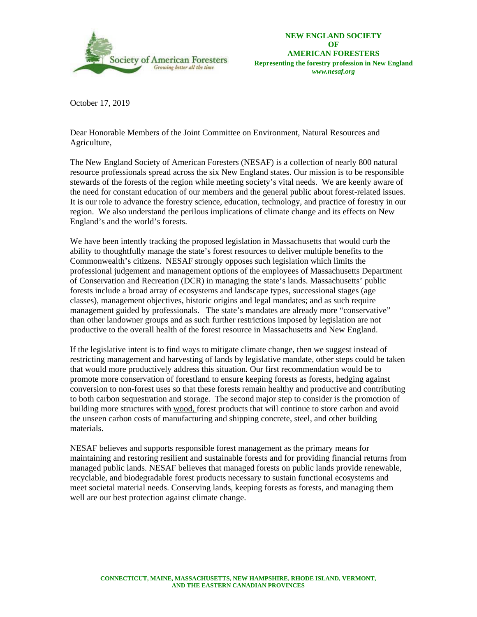

**NEW ENGLAND SOCIETY OF AMERICAN FORESTERS** 

**Representing the forestry profession in New England**  *www.nesaf.org* 

October 17, 2019

Dear Honorable Members of the Joint Committee on Environment, Natural Resources and Agriculture,

The New England Society of American Foresters (NESAF) is a collection of nearly 800 natural resource professionals spread across the six New England states. Our mission is to be responsible stewards of the forests of the region while meeting society's vital needs. We are keenly aware of the need for constant education of our members and the general public about forest-related issues. It is our role to advance the forestry science, education, technology, and practice of forestry in our region. We also understand the perilous implications of climate change and its effects on New England's and the world's forests.

We have been intently tracking the proposed legislation in Massachusetts that would curb the ability to thoughtfully manage the state's forest resources to deliver multiple benefits to the Commonwealth's citizens. NESAF strongly opposes such legislation which limits the professional judgement and management options of the employees of Massachusetts Department of Conservation and Recreation (DCR) in managing the state's lands. Massachusetts' public forests include a broad array of ecosystems and landscape types, successional stages (age classes), management objectives, historic origins and legal mandates; and as such require management guided by professionals. The state's mandates are already more "conservative" than other landowner groups and as such further restrictions imposed by legislation are not productive to the overall health of the forest resource in Massachusetts and New England.

If the legislative intent is to find ways to mitigate climate change, then we suggest instead of restricting management and harvesting of lands by legislative mandate, other steps could be taken that would more productively address this situation. Our first recommendation would be to promote more conservation of forestland to ensure keeping forests as forests, hedging against conversion to non-forest uses so that these forests remain healthy and productive and contributing to both carbon sequestration and storage. The second major step to consider is the promotion of building more structures with wood, forest products that will continue to store carbon and avoid the unseen carbon costs of manufacturing and shipping concrete, steel, and other building materials.

NESAF believes and supports responsible forest management as the primary means for maintaining and restoring resilient and sustainable forests and for providing financial returns from managed public lands. NESAF believes that managed forests on public lands provide renewable, recyclable, and biodegradable forest products necessary to sustain functional ecosystems and meet societal material needs. Conserving lands, keeping forests as forests, and managing them well are our best protection against climate change.